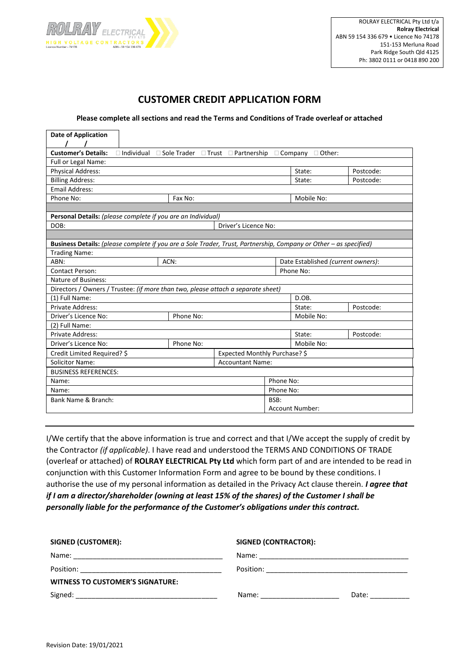

# **CUSTOMER CREDIT APPLICATION FORM**

### **Please complete all sections and read the Terms and Conditions of Trade overleaf or attached**

| <b>Customer's Details:</b><br>$\Box$ Individual $\Box$ Sole Trader $\Box$ Trust $\Box$ Partnership<br>$\Box$ Company<br>$\Box$ Other:<br>Full or Legal Name:<br>State:<br><b>Physical Address:</b><br>Postcode:<br><b>Billing Address:</b><br>State:<br>Postcode:<br><b>Email Address:</b><br>Phone No:<br>Mobile No:<br>Fax No:<br>Personal Details: (please complete if you are an Individual)<br>Driver's Licence No:<br>DOB:<br>Business Details: (please complete if you are a Sole Trader, Trust, Partnership, Company or Other - as specified)<br><b>Trading Name:</b><br>ABN:<br>ACN:<br>Date Established (current owners):<br>Phone No:<br><b>Contact Person:</b><br>Nature of Business:<br>Directors / Owners / Trustee: (if more than two, please attach a separate sheet)<br>D.OB.<br>(1) Full Name:<br>Private Address:<br>State:<br>Postcode:<br>Driver's Licence No:<br>Phone No:<br>Mobile No: | <b>Date of Application</b> |  |  |  |
|----------------------------------------------------------------------------------------------------------------------------------------------------------------------------------------------------------------------------------------------------------------------------------------------------------------------------------------------------------------------------------------------------------------------------------------------------------------------------------------------------------------------------------------------------------------------------------------------------------------------------------------------------------------------------------------------------------------------------------------------------------------------------------------------------------------------------------------------------------------------------------------------------------------|----------------------------|--|--|--|
|                                                                                                                                                                                                                                                                                                                                                                                                                                                                                                                                                                                                                                                                                                                                                                                                                                                                                                                |                            |  |  |  |
|                                                                                                                                                                                                                                                                                                                                                                                                                                                                                                                                                                                                                                                                                                                                                                                                                                                                                                                |                            |  |  |  |
|                                                                                                                                                                                                                                                                                                                                                                                                                                                                                                                                                                                                                                                                                                                                                                                                                                                                                                                |                            |  |  |  |
|                                                                                                                                                                                                                                                                                                                                                                                                                                                                                                                                                                                                                                                                                                                                                                                                                                                                                                                |                            |  |  |  |
|                                                                                                                                                                                                                                                                                                                                                                                                                                                                                                                                                                                                                                                                                                                                                                                                                                                                                                                |                            |  |  |  |
|                                                                                                                                                                                                                                                                                                                                                                                                                                                                                                                                                                                                                                                                                                                                                                                                                                                                                                                |                            |  |  |  |
|                                                                                                                                                                                                                                                                                                                                                                                                                                                                                                                                                                                                                                                                                                                                                                                                                                                                                                                |                            |  |  |  |
|                                                                                                                                                                                                                                                                                                                                                                                                                                                                                                                                                                                                                                                                                                                                                                                                                                                                                                                |                            |  |  |  |
|                                                                                                                                                                                                                                                                                                                                                                                                                                                                                                                                                                                                                                                                                                                                                                                                                                                                                                                |                            |  |  |  |
|                                                                                                                                                                                                                                                                                                                                                                                                                                                                                                                                                                                                                                                                                                                                                                                                                                                                                                                |                            |  |  |  |
|                                                                                                                                                                                                                                                                                                                                                                                                                                                                                                                                                                                                                                                                                                                                                                                                                                                                                                                |                            |  |  |  |
|                                                                                                                                                                                                                                                                                                                                                                                                                                                                                                                                                                                                                                                                                                                                                                                                                                                                                                                |                            |  |  |  |
|                                                                                                                                                                                                                                                                                                                                                                                                                                                                                                                                                                                                                                                                                                                                                                                                                                                                                                                |                            |  |  |  |
|                                                                                                                                                                                                                                                                                                                                                                                                                                                                                                                                                                                                                                                                                                                                                                                                                                                                                                                |                            |  |  |  |
|                                                                                                                                                                                                                                                                                                                                                                                                                                                                                                                                                                                                                                                                                                                                                                                                                                                                                                                |                            |  |  |  |
|                                                                                                                                                                                                                                                                                                                                                                                                                                                                                                                                                                                                                                                                                                                                                                                                                                                                                                                |                            |  |  |  |
|                                                                                                                                                                                                                                                                                                                                                                                                                                                                                                                                                                                                                                                                                                                                                                                                                                                                                                                |                            |  |  |  |
|                                                                                                                                                                                                                                                                                                                                                                                                                                                                                                                                                                                                                                                                                                                                                                                                                                                                                                                |                            |  |  |  |
|                                                                                                                                                                                                                                                                                                                                                                                                                                                                                                                                                                                                                                                                                                                                                                                                                                                                                                                |                            |  |  |  |
|                                                                                                                                                                                                                                                                                                                                                                                                                                                                                                                                                                                                                                                                                                                                                                                                                                                                                                                |                            |  |  |  |
| (2) Full Name:                                                                                                                                                                                                                                                                                                                                                                                                                                                                                                                                                                                                                                                                                                                                                                                                                                                                                                 |                            |  |  |  |
| Private Address:<br>State:<br>Postcode:                                                                                                                                                                                                                                                                                                                                                                                                                                                                                                                                                                                                                                                                                                                                                                                                                                                                        |                            |  |  |  |
| Driver's Licence No:<br>Mobile No:<br>Phone No:                                                                                                                                                                                                                                                                                                                                                                                                                                                                                                                                                                                                                                                                                                                                                                                                                                                                |                            |  |  |  |
| Credit Limited Required? \$<br>Expected Monthly Purchase? \$                                                                                                                                                                                                                                                                                                                                                                                                                                                                                                                                                                                                                                                                                                                                                                                                                                                   |                            |  |  |  |
| <b>Solicitor Name:</b><br><b>Accountant Name:</b>                                                                                                                                                                                                                                                                                                                                                                                                                                                                                                                                                                                                                                                                                                                                                                                                                                                              |                            |  |  |  |
| <b>BUSINESS REFERENCES:</b>                                                                                                                                                                                                                                                                                                                                                                                                                                                                                                                                                                                                                                                                                                                                                                                                                                                                                    |                            |  |  |  |
| Phone No:<br>Name:                                                                                                                                                                                                                                                                                                                                                                                                                                                                                                                                                                                                                                                                                                                                                                                                                                                                                             |                            |  |  |  |
| Phone No:<br>Name:                                                                                                                                                                                                                                                                                                                                                                                                                                                                                                                                                                                                                                                                                                                                                                                                                                                                                             |                            |  |  |  |
| Bank Name & Branch:<br>BSB:                                                                                                                                                                                                                                                                                                                                                                                                                                                                                                                                                                                                                                                                                                                                                                                                                                                                                    |                            |  |  |  |
| <b>Account Number:</b>                                                                                                                                                                                                                                                                                                                                                                                                                                                                                                                                                                                                                                                                                                                                                                                                                                                                                         |                            |  |  |  |

I/We certify that the above information is true and correct and that I/We accept the supply of credit by the Contractor *(if applicable)*. I have read and understood the TERMS AND CONDITIONS OF TRADE (overleaf or attached) of **ROLRAY ELECTRICAL Pty Ltd** which form part of and are intended to be read in conjunction with this Customer Information Form and agree to be bound by these conditions. I authorise the use of my personal information as detailed in the Privacy Act clause therein. *I agree that if I am a director/shareholder (owning at least 15% of the shares) of the Customer I shall be personally liable for the performance of the Customer's obligations under this contract.*

| <b>SIGNED (CUSTOMER):</b>                     | <b>SIGNED (CONTRACTOR):</b>                                                                                                                                                                                                                                                                                                                      |  |  |
|-----------------------------------------------|--------------------------------------------------------------------------------------------------------------------------------------------------------------------------------------------------------------------------------------------------------------------------------------------------------------------------------------------------|--|--|
|                                               |                                                                                                                                                                                                                                                                                                                                                  |  |  |
| Position: ___________________________________ |                                                                                                                                                                                                                                                                                                                                                  |  |  |
| <b>WITNESS TO CUSTOMER'S SIGNATURE:</b>       |                                                                                                                                                                                                                                                                                                                                                  |  |  |
|                                               | Date: the control of the control of the control of the control of the control of the control of the control of the control of the control of the control of the control of the control of the control of the control of the co<br>Name: when the contract of the contract of the contract of the contract of the contract of the contract of the |  |  |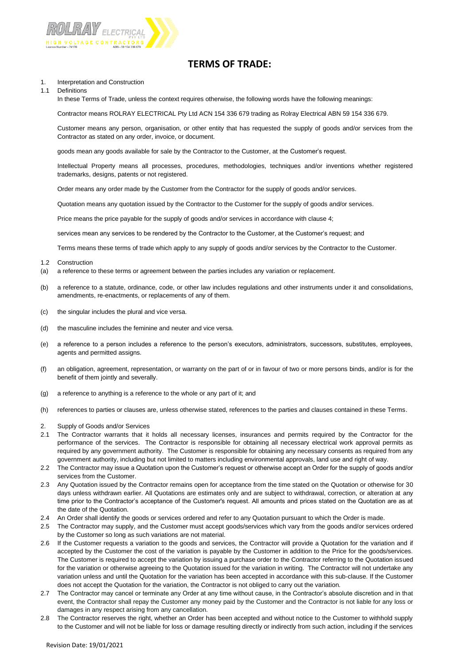

## **TERMS OF TRADE:**

#### 1. Interpretation and Construction

### 1.1 Definitions

In these Terms of Trade, unless the context requires otherwise, the following words have the following meanings:

Contractor means ROLRAY ELECTRICAL Pty Ltd ACN 154 336 679 trading as Rolray Electrical ABN 59 154 336 679.

Customer means any person, organisation, or other entity that has requested the supply of goods and/or services from the Contractor as stated on any order, invoice, or document.

goods mean any goods available for sale by the Contractor to the Customer, at the Customer's request.

Intellectual Property means all processes, procedures, methodologies, techniques and/or inventions whether registered trademarks, designs, patents or not registered.

Order means any order made by the Customer from the Contractor for the supply of goods and/or services.

Quotation means any quotation issued by the Contractor to the Customer for the supply of goods and/or services.

Price means the price payable for the supply of goods and/or services in accordance with clause 4;

services mean any services to be rendered by the Contractor to the Customer, at the Customer's request; and

Terms means these terms of trade which apply to any supply of goods and/or services by the Contractor to the Customer.

- 1.2 Construction
- (a) a reference to these terms or agreement between the parties includes any variation or replacement.
- (b) a reference to a statute, ordinance, code, or other law includes regulations and other instruments under it and consolidations, amendments, re-enactments, or replacements of any of them.
- (c) the singular includes the plural and vice versa.
- (d) the masculine includes the feminine and neuter and vice versa.
- (e) a reference to a person includes a reference to the person's executors, administrators, successors, substitutes, employees, agents and permitted assigns.
- (f) an obligation, agreement, representation, or warranty on the part of or in favour of two or more persons binds, and/or is for the benefit of them jointly and severally.
- (g) a reference to anything is a reference to the whole or any part of it; and
- (h) references to parties or clauses are, unless otherwise stated, references to the parties and clauses contained in these Terms.
- 2. Supply of Goods and/or Services
- 2.1 The Contractor warrants that it holds all necessary licenses, insurances and permits required by the Contractor for the performance of the services. The Contractor is responsible for obtaining all necessary electrical work approval permits as required by any government authority. The Customer is responsible for obtaining any necessary consents as required from any government authority, including but not limited to matters including environmental approvals, land use and right of way.
- 2.2 The Contractor may issue a Quotation upon the Customer's request or otherwise accept an Order for the supply of goods and/or services from the Customer.
- 2.3 Any Quotation issued by the Contractor remains open for acceptance from the time stated on the Quotation or otherwise for 30 days unless withdrawn earlier. All Quotations are estimates only and are subject to withdrawal, correction, or alteration at any time prior to the Contractor's acceptance of the Customer's request. All amounts and prices stated on the Quotation are as at the date of the Quotation.
- 2.4 An Order shall identify the goods or services ordered and refer to any Quotation pursuant to which the Order is made.
- 2.5 The Contractor may supply, and the Customer must accept goods/services which vary from the goods and/or services ordered by the Customer so long as such variations are not material.
- 2.6 If the Customer requests a variation to the goods and services, the Contractor will provide a Quotation for the variation and if accepted by the Customer the cost of the variation is payable by the Customer in addition to the Price for the goods/services. The Customer is required to accept the variation by issuing a purchase order to the Contractor referring to the Quotation issued for the variation or otherwise agreeing to the Quotation issued for the variation in writing. The Contractor will not undertake any variation unless and until the Quotation for the variation has been accepted in accordance with this sub-clause. If the Customer does not accept the Quotation for the variation, the Contractor is not obliged to carry out the variation.
- 2.7 The Contractor may cancel or terminate any Order at any time without cause, in the Contractor's absolute discretion and in that event, the Contractor shall repay the Customer any money paid by the Customer and the Contractor is not liable for any loss or damages in any respect arising from any cancellation.
- 2.8 The Contractor reserves the right, whether an Order has been accepted and without notice to the Customer to withhold supply to the Customer and will not be liable for loss or damage resulting directly or indirectly from such action, including if the services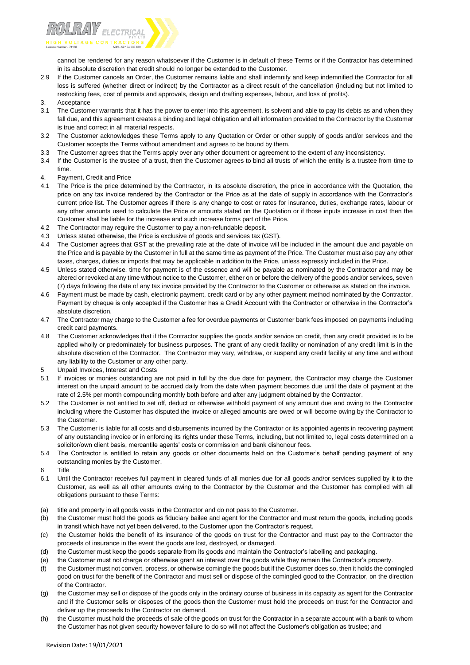

cannot be rendered for any reason whatsoever if the Customer is in default of these Terms or if the Contractor has determined in its absolute discretion that credit should no longer be extended to the Customer.

- 2.9 If the Customer cancels an Order, the Customer remains liable and shall indemnify and keep indemnified the Contractor for all loss is suffered (whether direct or indirect) by the Contractor as a direct result of the cancellation (including but not limited to restocking fees, cost of permits and approvals, design and drafting expenses, labour, and loss of profits).
- 3. Acceptance
- The Customer warrants that it has the power to enter into this agreement, is solvent and able to pay its debts as and when they fall due, and this agreement creates a binding and legal obligation and all information provided to the Contractor by the Customer is true and correct in all material respects.
- 3.2 The Customer acknowledges these Terms apply to any Quotation or Order or other supply of goods and/or services and the Customer accepts the Terms without amendment and agrees to be bound by them.
- 3.3 The Customer agrees that the Terms apply over any other document or agreement to the extent of any inconsistency.
- 3.4 If the Customer is the trustee of a trust, then the Customer agrees to bind all trusts of which the entity is a trustee from time to time.
- 4. Payment, Credit and Price
- 4.1 The Price is the price determined by the Contractor, in its absolute discretion, the price in accordance with the Quotation, the price on any tax invoice rendered by the Contractor or the Price as at the date of supply in accordance with the Contractor's current price list. The Customer agrees if there is any change to cost or rates for insurance, duties, exchange rates, labour or any other amounts used to calculate the Price or amounts stated on the Quotation or if those inputs increase in cost then the Customer shall be liable for the increase and such increase forms part of the Price.
- 4.2 The Contractor may require the Customer to pay a non-refundable deposit.
- 4.3 Unless stated otherwise, the Price is exclusive of goods and services tax (GST).
- 4.4 The Customer agrees that GST at the prevailing rate at the date of invoice will be included in the amount due and payable on the Price and is payable by the Customer in full at the same time as payment of the Price. The Customer must also pay any other taxes, charges, duties or imports that may be applicable in addition to the Price, unless expressly included in the Price.
- 4.5 Unless stated otherwise, time for payment is of the essence and will be payable as nominated by the Contractor and may be altered or revoked at any time without notice to the Customer, either on or before the delivery of the goods and/or services, seven (7) days following the date of any tax invoice provided by the Contractor to the Customer or otherwise as stated on the invoice.
- 4.6 Payment must be made by cash, electronic payment, credit card or by any other payment method nominated by the Contractor. Payment by cheque is only accepted if the Customer has a Credit Account with the Contractor or otherwise in the Contractor's absolute discretion.
- 4.7 The Contractor may charge to the Customer a fee for overdue payments or Customer bank fees imposed on payments including credit card payments.
- 4.8 The Customer acknowledges that if the Contractor supplies the goods and/or service on credit, then any credit provided is to be applied wholly or predominately for business purposes. The grant of any credit facility or nomination of any credit limit is in the absolute discretion of the Contractor. The Contractor may vary, withdraw, or suspend any credit facility at any time and without any liability to the Customer or any other party.
- 5 Unpaid Invoices, Interest and Costs
- 5.1 If invoices or monies outstanding are not paid in full by the due date for payment, the Contractor may charge the Customer interest on the unpaid amount to be accrued daily from the date when payment becomes due until the date of payment at the rate of 2.5% per month compounding monthly both before and after any judgment obtained by the Contractor.
- 5.2 The Customer is not entitled to set off, deduct or otherwise withhold payment of any amount due and owing to the Contractor including where the Customer has disputed the invoice or alleged amounts are owed or will become owing by the Contractor to the Customer.
- 5.3 The Customer is liable for all costs and disbursements incurred by the Contractor or its appointed agents in recovering payment of any outstanding invoice or in enforcing its rights under these Terms, including, but not limited to, legal costs determined on a solicitor/own client basis, mercantile agents' costs or commission and bank dishonour fees.
- 5.4 The Contractor is entitled to retain any goods or other documents held on the Customer's behalf pending payment of any outstanding monies by the Customer.
- 6 Title
- 6.1 Until the Contractor receives full payment in cleared funds of all monies due for all goods and/or services supplied by it to the Customer, as well as all other amounts owing to the Contractor by the Customer and the Customer has complied with all obligations pursuant to these Terms:
- (a) title and property in all goods vests in the Contractor and do not pass to the Customer.
- (b) the Customer must hold the goods as fiduciary bailee and agent for the Contractor and must return the goods, including goods in transit which have not yet been delivered, to the Customer upon the Contractor's request.
- (c) the Customer holds the benefit of its insurance of the goods on trust for the Contractor and must pay to the Contractor the proceeds of insurance in the event the goods are lost, destroyed, or damaged.
- (d) the Customer must keep the goods separate from its goods and maintain the Contractor's labelling and packaging.
- (e) the Customer must not charge or otherwise grant an interest over the goods while they remain the Contractor's property.
- (f) the Customer must not convert, process, or otherwise comingle the goods but if the Customer does so, then it holds the comingled good on trust for the benefit of the Contractor and must sell or dispose of the comingled good to the Contractor, on the direction of the Contractor.
- (g) the Customer may sell or dispose of the goods only in the ordinary course of business in its capacity as agent for the Contractor and if the Customer sells or disposes of the goods then the Customer must hold the proceeds on trust for the Contractor and deliver up the proceeds to the Contractor on demand.
- (h) the Customer must hold the proceeds of sale of the goods on trust for the Contractor in a separate account with a bank to whom the Customer has not given security however failure to do so will not affect the Customer's obligation as trustee; and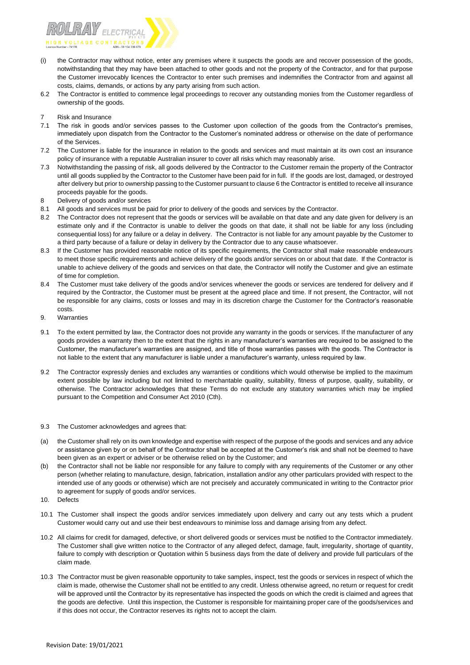

- (i) the Contractor may without notice, enter any premises where it suspects the goods are and recover possession of the goods, notwithstanding that they may have been attached to other goods and not the property of the Contractor, and for that purpose the Customer irrevocably licences the Contractor to enter such premises and indemnifies the Contractor from and against all costs, claims, demands, or actions by any party arising from such action.
- 6.2 The Contractor is entitled to commence legal proceedings to recover any outstanding monies from the Customer regardless of ownership of the goods.
- 7 Risk and Insurance
- 7.1 The risk in goods and/or services passes to the Customer upon collection of the goods from the Contractor's premises, immediately upon dispatch from the Contractor to the Customer's nominated address or otherwise on the date of performance of the Services.
- 7.2 The Customer is liable for the insurance in relation to the goods and services and must maintain at its own cost an insurance policy of insurance with a reputable Australian insurer to cover all risks which may reasonably arise.
- 7.3 Notwithstanding the passing of risk, all goods delivered by the Contractor to the Customer remain the property of the Contractor until all goods supplied by the Contractor to the Customer have been paid for in full. If the goods are lost, damaged, or destroyed after delivery but prior to ownership passing to the Customer pursuant to clause 6 the Contractor is entitled to receive all insurance proceeds payable for the goods.
- 8 Delivery of goods and/or services
- 8.1 All goods and services must be paid for prior to delivery of the goods and services by the Contractor.
- The Contractor does not represent that the goods or services will be available on that date and any date given for delivery is an estimate only and if the Contractor is unable to deliver the goods on that date, it shall not be liable for any loss (including consequential loss) for any failure or a delay in delivery. The Contractor is not liable for any amount payable by the Customer to a third party because of a failure or delay in delivery by the Contractor due to any cause whatsoever.
- 8.3 If the Customer has provided reasonable notice of its specific requirements, the Contractor shall make reasonable endeavours to meet those specific requirements and achieve delivery of the goods and/or services on or about that date. If the Contractor is unable to achieve delivery of the goods and services on that date, the Contractor will notify the Customer and give an estimate of time for completion.
- 8.4 The Customer must take delivery of the goods and/or services whenever the goods or services are tendered for delivery and if required by the Contractor, the Customer must be present at the agreed place and time. If not present, the Contractor, will not be responsible for any claims, costs or losses and may in its discretion charge the Customer for the Contractor's reasonable costs.
- 9. Warranties
- 9.1 To the extent permitted by law, the Contractor does not provide any warranty in the goods or services. If the manufacturer of any goods provides a warranty then to the extent that the rights in any manufacturer's warranties are required to be assigned to the Customer, the manufacturer's warranties are assigned, and title of those warranties passes with the goods. The Contractor is not liable to the extent that any manufacturer is liable under a manufacturer's warranty, unless required by law.
- 9.2 The Contractor expressly denies and excludes any warranties or conditions which would otherwise be implied to the maximum extent possible by law including but not limited to merchantable quality, suitability, fitness of purpose, quality, suitability, or otherwise. The Contractor acknowledges that these Terms do not exclude any statutory warranties which may be implied pursuant to the Competition and Consumer Act 2010 (Cth).
- 9.3 The Customer acknowledges and agrees that:
- (a) the Customer shall rely on its own knowledge and expertise with respect of the purpose of the goods and services and any advice or assistance given by or on behalf of the Contractor shall be accepted at the Customer's risk and shall not be deemed to have been given as an expert or adviser or be otherwise relied on by the Customer; and
- (b) the Contractor shall not be liable nor responsible for any failure to comply with any requirements of the Customer or any other person (whether relating to manufacture, design, fabrication, installation and/or any other particulars provided with respect to the intended use of any goods or otherwise) which are not precisely and accurately communicated in writing to the Contractor prior to agreement for supply of goods and/or services.
- 10. Defects
- 10.1 The Customer shall inspect the goods and/or services immediately upon delivery and carry out any tests which a prudent Customer would carry out and use their best endeavours to minimise loss and damage arising from any defect.
- 10.2 All claims for credit for damaged, defective, or short delivered goods or services must be notified to the Contractor immediately. The Customer shall give written notice to the Contractor of any alleged defect, damage, fault, irregularity, shortage of quantity, failure to comply with description or Quotation within 5 business days from the date of delivery and provide full particulars of the claim made.
- 10.3 The Contractor must be given reasonable opportunity to take samples, inspect, test the goods or services in respect of which the claim is made, otherwise the Customer shall not be entitled to any credit. Unless otherwise agreed, no return or request for credit will be approved until the Contractor by its representative has inspected the goods on which the credit is claimed and agrees that the goods are defective. Until this inspection, the Customer is responsible for maintaining proper care of the goods/services and if this does not occur, the Contractor reserves its rights not to accept the claim.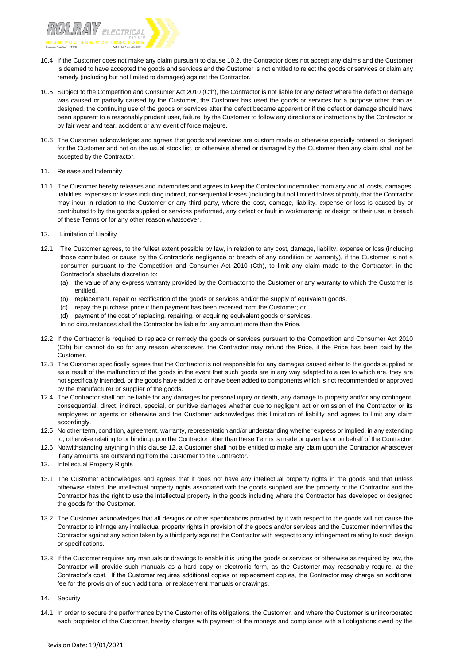

- 10.4 If the Customer does not make any claim pursuant to clause 10.2, the Contractor does not accept any claims and the Customer is deemed to have accepted the goods and services and the Customer is not entitled to reject the goods or services or claim any remedy (including but not limited to damages) against the Contractor.
- 10.5 Subject to the Competition and Consumer Act 2010 (Cth), the Contractor is not liable for any defect where the defect or damage was caused or partially caused by the Customer, the Customer has used the goods or services for a purpose other than as designed, the continuing use of the goods or services after the defect became apparent or if the defect or damage should have been apparent to a reasonably prudent user, failure by the Customer to follow any directions or instructions by the Contractor or by fair wear and tear, accident or any event of force majeure.
- 10.6 The Customer acknowledges and agrees that goods and services are custom made or otherwise specially ordered or designed for the Customer and not on the usual stock list, or otherwise altered or damaged by the Customer then any claim shall not be accepted by the Contractor.
- 11. Release and Indemnity
- 11.1 The Customer hereby releases and indemnifies and agrees to keep the Contractor indemnified from any and all costs, damages, liabilities, expenses or losses including indirect, consequential losses (including but not limited to loss of profit), that the Contractor may incur in relation to the Customer or any third party, where the cost, damage, liability, expense or loss is caused by or contributed to by the goods supplied or services performed, any defect or fault in workmanship or design or their use, a breach of these Terms or for any other reason whatsoever.
- 12. Limitation of Liability
- 12.1 The Customer agrees, to the fullest extent possible by law, in relation to any cost, damage, liability, expense or loss (including those contributed or cause by the Contractor's negligence or breach of any condition or warranty), if the Customer is not a consumer pursuant to the Competition and Consumer Act 2010 (Cth), to limit any claim made to the Contractor, in the Contractor's absolute discretion to:
	- (a) the value of any express warranty provided by the Contractor to the Customer or any warranty to which the Customer is entitled.
	- (b) replacement, repair or rectification of the goods or services and/or the supply of equivalent goods.
	- (c) repay the purchase price if then payment has been received from the Customer; or
	- (d) payment of the cost of replacing, repairing, or acquiring equivalent goods or services.
	- In no circumstances shall the Contractor be liable for any amount more than the Price.
- 12.2 If the Contractor is required to replace or remedy the goods or services pursuant to the Competition and Consumer Act 2010 (Cth) but cannot do so for any reason whatsoever, the Contractor may refund the Price, if the Price has been paid by the Customer.
- 12.3 The Customer specifically agrees that the Contractor is not responsible for any damages caused either to the goods supplied or as a result of the malfunction of the goods in the event that such goods are in any way adapted to a use to which are, they are not specifically intended, or the goods have added to or have been added to components which is not recommended or approved by the manufacturer or supplier of the goods.
- 12.4 The Contractor shall not be liable for any damages for personal injury or death, any damage to property and/or any contingent, consequential, direct, indirect, special, or punitive damages whether due to negligent act or omission of the Contractor or its employees or agents or otherwise and the Customer acknowledges this limitation of liability and agrees to limit any claim accordingly.
- 12.5 No other term, condition, agreement, warranty, representation and/or understanding whether express or implied, in any extending to, otherwise relating to or binding upon the Contractor other than these Terms is made or given by or on behalf of the Contractor.
- 12.6 Notwithstanding anything in this clause 12, a Customer shall not be entitled to make any claim upon the Contractor whatsoever if any amounts are outstanding from the Customer to the Contractor.
- 13. Intellectual Property Rights
- 13.1 The Customer acknowledges and agrees that it does not have any intellectual property rights in the goods and that unless otherwise stated, the intellectual property rights associated with the goods supplied are the property of the Contractor and the Contractor has the right to use the intellectual property in the goods including where the Contractor has developed or designed the goods for the Customer.
- 13.2 The Customer acknowledges that all designs or other specifications provided by it with respect to the goods will not cause the Contractor to infringe any intellectual property rights in provision of the goods and/or services and the Customer indemnifies the Contractor against any action taken by a third party against the Contractor with respect to any infringement relating to such design or specifications.
- 13.3 If the Customer requires any manuals or drawings to enable it is using the goods or services or otherwise as required by law, the Contractor will provide such manuals as a hard copy or electronic form, as the Customer may reasonably require, at the Contractor's cost. If the Customer requires additional copies or replacement copies, the Contractor may charge an additional fee for the provision of such additional or replacement manuals or drawings.
- 14. Security
- 14.1 In order to secure the performance by the Customer of its obligations, the Customer, and where the Customer is unincorporated each proprietor of the Customer, hereby charges with payment of the moneys and compliance with all obligations owed by the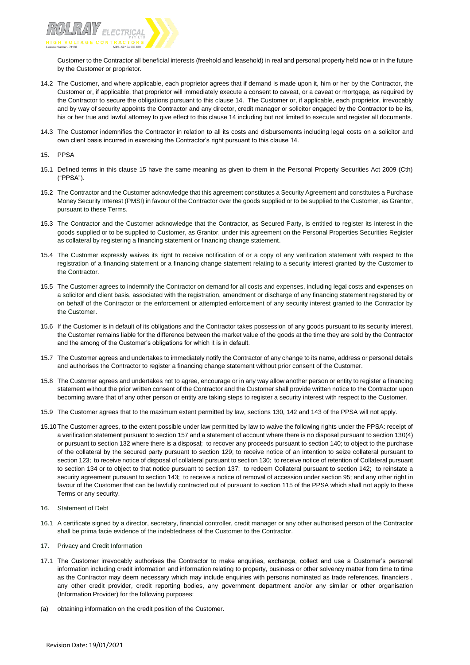

Customer to the Contractor all beneficial interests (freehold and leasehold) in real and personal property held now or in the future by the Customer or proprietor.

- 14.2 The Customer, and where applicable, each proprietor agrees that if demand is made upon it, him or her by the Contractor, the Customer or, if applicable, that proprietor will immediately execute a consent to caveat, or a caveat or mortgage, as required by the Contractor to secure the obligations pursuant to this clause 14. The Customer or, if applicable, each proprietor, irrevocably and by way of security appoints the Contractor and any director, credit manager or solicitor engaged by the Contractor to be its, his or her true and lawful attorney to give effect to this clause 14 including but not limited to execute and register all documents.
- 14.3 The Customer indemnifies the Contractor in relation to all its costs and disbursements including legal costs on a solicitor and own client basis incurred in exercising the Contractor's right pursuant to this clause 14.
- 15. PPSA
- 15.1 Defined terms in this clause 15 have the same meaning as given to them in the Personal Property Securities Act 2009 (Cth) ("PPSA").
- 15.2 The Contractor and the Customer acknowledge that this agreement constitutes a Security Agreement and constitutes a Purchase Money Security Interest (PMSI) in favour of the Contractor over the goods supplied or to be supplied to the Customer, as Grantor, pursuant to these Terms.
- 15.3 The Contractor and the Customer acknowledge that the Contractor, as Secured Party, is entitled to register its interest in the goods supplied or to be supplied to Customer, as Grantor, under this agreement on the Personal Properties Securities Register as collateral by registering a financing statement or financing change statement.
- 15.4 The Customer expressly waives its right to receive notification of or a copy of any verification statement with respect to the registration of a financing statement or a financing change statement relating to a security interest granted by the Customer to the Contractor.
- 15.5 The Customer agrees to indemnify the Contractor on demand for all costs and expenses, including legal costs and expenses on a solicitor and client basis, associated with the registration, amendment or discharge of any financing statement registered by or on behalf of the Contractor or the enforcement or attempted enforcement of any security interest granted to the Contractor by the Customer.
- 15.6 If the Customer is in default of its obligations and the Contractor takes possession of any goods pursuant to its security interest, the Customer remains liable for the difference between the market value of the goods at the time they are sold by the Contractor and the among of the Customer's obligations for which it is in default.
- 15.7 The Customer agrees and undertakes to immediately notify the Contractor of any change to its name, address or personal details and authorises the Contractor to register a financing change statement without prior consent of the Customer.
- 15.8 The Customer agrees and undertakes not to agree, encourage or in any way allow another person or entity to register a financing statement without the prior written consent of the Contractor and the Customer shall provide written notice to the Contractor upon becoming aware that of any other person or entity are taking steps to register a security interest with respect to the Customer.
- 15.9 The Customer agrees that to the maximum extent permitted by law, sections 130, 142 and 143 of the PPSA will not apply.
- 15.10The Customer agrees, to the extent possible under law permitted by law to waive the following rights under the PPSA: receipt of a verification statement pursuant to section 157 and a statement of account where there is no disposal pursuant to section 130(4) or pursuant to section 132 where there is a disposal; to recover any proceeds pursuant to section 140; to object to the purchase of the collateral by the secured party pursuant to section 129; to receive notice of an intention to seize collateral pursuant to section 123; to receive notice of disposal of collateral pursuant to section 130; to receive notice of retention of Collateral pursuant to section 134 or to object to that notice pursuant to section 137; to redeem Collateral pursuant to section 142; to reinstate a security agreement pursuant to section 143; to receive a notice of removal of accession under section 95; and any other right in favour of the Customer that can be lawfully contracted out of pursuant to section 115 of the PPSA which shall not apply to these Terms or any security.
- 16. Statement of Debt
- 16.1 A certificate signed by a director, secretary, financial controller, credit manager or any other authorised person of the Contractor shall be prima facie evidence of the indebtedness of the Customer to the Contractor.
- 17. Privacy and Credit Information
- 17.1 The Customer irrevocably authorises the Contractor to make enquiries, exchange, collect and use a Customer's personal information including credit information and information relating to property, business or other solvency matter from time to time as the Contractor may deem necessary which may include enquiries with persons nominated as trade references, financiers , any other credit provider, credit reporting bodies, any government department and/or any similar or other organisation (Information Provider) for the following purposes:
- (a) obtaining information on the credit position of the Customer.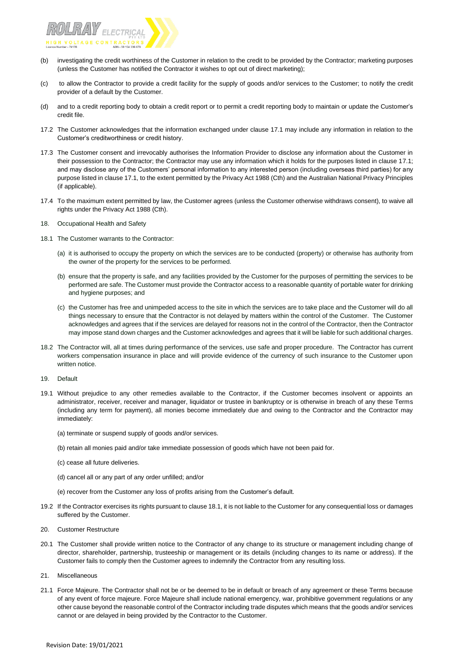

- (b) investigating the credit worthiness of the Customer in relation to the credit to be provided by the Contractor; marketing purposes (unless the Customer has notified the Contractor it wishes to opt out of direct marketing);
- (c) to allow the Contractor to provide a credit facility for the supply of goods and/or services to the Customer; to notify the credit provider of a default by the Customer.
- (d) and to a credit reporting body to obtain a credit report or to permit a credit reporting body to maintain or update the Customer's credit file.
- 17.2 The Customer acknowledges that the information exchanged under clause 17.1 may include any information in relation to the Customer's creditworthiness or credit history.
- 17.3 The Customer consent and irrevocably authorises the Information Provider to disclose any information about the Customer in their possession to the Contractor; the Contractor may use any information which it holds for the purposes listed in clause 17.1; and may disclose any of the Customers' personal information to any interested person (including overseas third parties) for any purpose listed in clause 17.1, to the extent permitted by the Privacy Act 1988 (Cth) and the Australian National Privacy Principles (if applicable).
- 17.4 To the maximum extent permitted by law, the Customer agrees (unless the Customer otherwise withdraws consent), to waive all rights under the Privacy Act 1988 (Cth).
- 18. Occupational Health and Safety
- 18.1 The Customer warrants to the Contractor:
	- (a) it is authorised to occupy the property on which the services are to be conducted (property) or otherwise has authority from the owner of the property for the services to be performed.
	- (b) ensure that the property is safe, and any facilities provided by the Customer for the purposes of permitting the services to be performed are safe. The Customer must provide the Contractor access to a reasonable quantity of portable water for drinking and hygiene purposes; and
	- (c) the Customer has free and unimpeded access to the site in which the services are to take place and the Customer will do all things necessary to ensure that the Contractor is not delayed by matters within the control of the Customer. The Customer acknowledges and agrees that if the services are delayed for reasons not in the control of the Contractor, then the Contractor may impose stand down charges and the Customer acknowledges and agrees that it will be liable for such additional charges.
- 18.2 The Contractor will, all at times during performance of the services, use safe and proper procedure. The Contractor has current workers compensation insurance in place and will provide evidence of the currency of such insurance to the Customer upon written notice.
- 19. Default
- 19.1 Without prejudice to any other remedies available to the Contractor, if the Customer becomes insolvent or appoints an administrator, receiver, receiver and manager, liquidator or trustee in bankruptcy or is otherwise in breach of any these Terms (including any term for payment), all monies become immediately due and owing to the Contractor and the Contractor may immediately:
	- (a) terminate or suspend supply of goods and/or services.
	- (b) retain all monies paid and/or take immediate possession of goods which have not been paid for.
	- (c) cease all future deliveries.
	- (d) cancel all or any part of any order unfilled; and/or
	- (e) recover from the Customer any loss of profits arising from the Customer's default.
- 19.2 If the Contractor exercises its rights pursuant to clause 18.1, it is not liable to the Customer for any consequential loss or damages suffered by the Customer.
- 20. Customer Restructure
- 20.1 The Customer shall provide written notice to the Contractor of any change to its structure or management including change of director, shareholder, partnership, trusteeship or management or its details (including changes to its name or address). If the Customer fails to comply then the Customer agrees to indemnify the Contractor from any resulting loss.
- 21. Miscellaneous
- 21.1 Force Majeure. The Contractor shall not be or be deemed to be in default or breach of any agreement or these Terms because of any event of force majeure. Force Majeure shall include national emergency, war, prohibitive government regulations or any other cause beyond the reasonable control of the Contractor including trade disputes which means that the goods and/or services cannot or are delayed in being provided by the Contractor to the Customer.